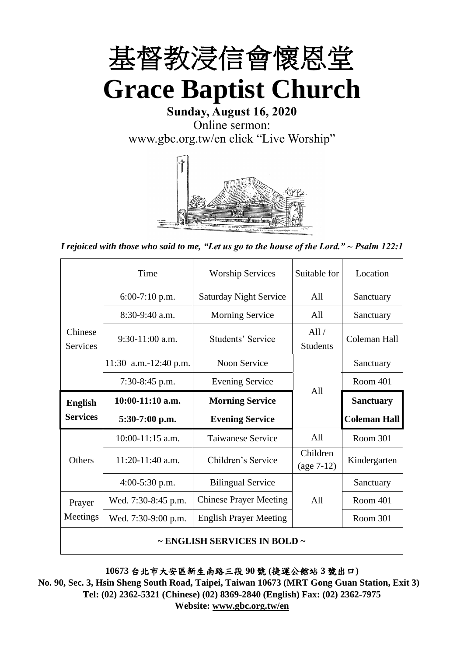

**Sunday, August 16, 2020** Online sermon: [www.gbc.org.tw/en](http://www.gbc.org.tw/en) click "Live Worship"



*I rejoiced with those who said to me, "Let us go to the house of the Lord." ~ Psalm 122:1*

|                            | Time                  | <b>Worship Services</b>       | Suitable for             | Location            |
|----------------------------|-----------------------|-------------------------------|--------------------------|---------------------|
|                            | $6:00-7:10$ p.m.      | <b>Saturday Night Service</b> | All                      | Sanctuary           |
|                            | $8:30-9:40$ a.m.      | <b>Morning Service</b>        | All                      | Sanctuary           |
| Chinese<br><b>Services</b> | $9:30-11:00$ a.m.     | Students' Service             | All/<br><b>Students</b>  | Coleman Hall        |
|                            | 11:30 a.m.-12:40 p.m. | Noon Service                  |                          | Sanctuary           |
|                            | 7:30-8:45 p.m.        | <b>Evening Service</b>        | A11                      | Room 401            |
|                            |                       |                               |                          |                     |
| <b>English</b>             | $10:00-11:10$ a.m.    | <b>Morning Service</b>        |                          | <b>Sanctuary</b>    |
| <b>Services</b>            | $5:30-7:00$ p.m.      | <b>Evening Service</b>        |                          | <b>Coleman Hall</b> |
|                            | $10:00-11:15$ a.m.    | <b>Taiwanese Service</b>      | A11                      | Room 301            |
| Others                     | 11:20-11:40 a.m.      | Children's Service            | Children<br>$(age 7-12)$ | Kindergarten        |
|                            | $4:00-5:30$ p.m.      | <b>Bilingual Service</b>      |                          | Sanctuary           |
| Prayer                     | Wed. 7:30-8:45 p.m.   | <b>Chinese Prayer Meeting</b> | A11                      | Room 401            |
| Meetings                   | Wed. 7:30-9:00 p.m.   | <b>English Prayer Meeting</b> |                          | Room 301            |

**10673** 台北市大安區新生南路三段 **90** 號 **(**捷運公館站 **3** 號出口**)**

**No. 90, Sec. 3, Hsin Sheng South Road, Taipei, Taiwan 10673 (MRT Gong Guan Station, Exit 3) Tel: (02) 2362-5321 (Chinese) (02) 8369-2840 (English) Fax: (02) 2362-7975 Website: [www.gbc.org.tw/en](http://www.gbc.org.tw/en)**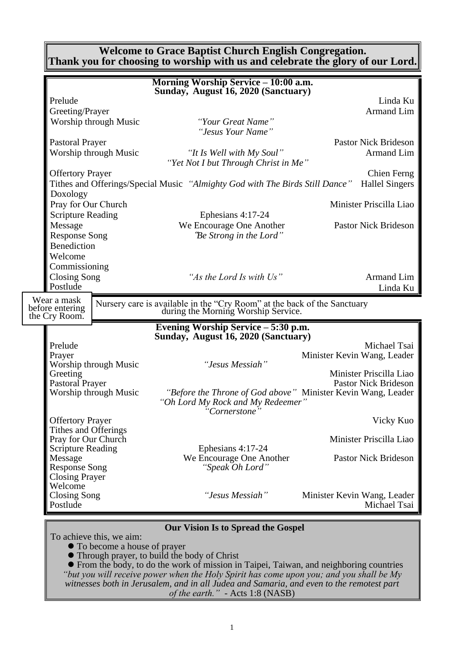**Welcome to Grace Baptist Church English Congregation. Thank you for choosing to worship with us and celebrate the glory of our Lord.**

|                                  |                          | Morning Worship Service – 10:00 a.m.                                                                                           |                             |
|----------------------------------|--------------------------|--------------------------------------------------------------------------------------------------------------------------------|-----------------------------|
|                                  |                          | Sunday, August 16, 2020 (Sanctuary)                                                                                            |                             |
| Prelude                          |                          |                                                                                                                                | Linda Ku                    |
| Greeting/Prayer                  |                          |                                                                                                                                | Armand Lim                  |
|                                  | Worship through Music    | "Your Great Name"<br>"Jesus Your Name"                                                                                         |                             |
| <b>Pastoral Prayer</b>           |                          |                                                                                                                                | <b>Pastor Nick Brideson</b> |
|                                  | Worship through Music    | "It Is Well with My Soul"<br>"Yet Not I but Through Christ in Me"                                                              | Armand Lim                  |
| <b>Offertory Prayer</b>          |                          |                                                                                                                                | <b>Chien Ferng</b>          |
| Doxology                         |                          | Tithes and Offerings/Special Music "Almighty God with The Birds Still Dance"                                                   | <b>Hallel Singers</b>       |
| Pray for Our Church              |                          |                                                                                                                                | Minister Priscilla Liao     |
| <b>Scripture Reading</b>         |                          | Ephesians 4:17-24                                                                                                              |                             |
| Message                          |                          | We Encourage One Another                                                                                                       | <b>Pastor Nick Brideson</b> |
| <b>Response Song</b>             |                          | "Be Strong in the Lord"                                                                                                        |                             |
| Benediction                      |                          |                                                                                                                                |                             |
| Welcome                          |                          |                                                                                                                                |                             |
| Commissioning                    |                          |                                                                                                                                |                             |
| <b>Closing Song</b>              |                          | "As the Lord Is with Us"                                                                                                       | Armand Lim                  |
| Postlude                         |                          |                                                                                                                                | Linda Ku                    |
| Wear a mask<br>before entering   |                          | Nursery care is available in the "Cry Room" at the back of the Sanctuary during the Morning Worship Service.                   |                             |
| the Cry Room.                    |                          |                                                                                                                                |                             |
|                                  |                          | Evening Worship Service - 5:30 p.m.                                                                                            |                             |
|                                  |                          | Sunday, August 16, 2020 (Sanctuary)                                                                                            |                             |
| Prelude                          |                          |                                                                                                                                | Michael Tsai                |
| Prayer                           | Worship through Music    | "Jesus Messiah"                                                                                                                | Minister Kevin Wang, Leader |
| Greeting                         |                          |                                                                                                                                | Minister Priscilla Liao     |
| Pastoral Prayer                  |                          |                                                                                                                                | <b>Pastor Nick Brideson</b> |
|                                  | Worship through Music    | "Before the Throne of God above" Minister Kevin Wang, Leader<br>"Oh Lord My Rock and My Redeemer"<br>"Cornerstone <sup>"</sup> |                             |
| <b>Offertory Prayer</b>          |                          |                                                                                                                                | Vicky Kuo                   |
| Tithes and Offerings             |                          |                                                                                                                                |                             |
| Pray for Our Church              |                          |                                                                                                                                | Minister Priscilla Liao     |
| <b>Scripture Reading</b>         |                          | Ephesians 4:17-24                                                                                                              |                             |
| Message                          |                          | We Encourage One Another                                                                                                       | <b>Pastor Nick Brideson</b> |
| <b>Response Song</b>             |                          | "Speak Oh Lord"                                                                                                                |                             |
| <b>Closing Prayer</b><br>Welcome |                          |                                                                                                                                |                             |
| <b>Closing Song</b>              |                          | "Jesus Messiah"                                                                                                                | Minister Kevin Wang, Leader |
| Postlude                         |                          |                                                                                                                                | Michael Tsai                |
|                                  |                          |                                                                                                                                |                             |
|                                  |                          | <b>Our Vision Is to Spread the Gospel</b>                                                                                      |                             |
|                                  | To achieve this, we aim: |                                                                                                                                |                             |

⚫ To become a house of prayer

⚫ Through prayer, to build the body of Christ

⚫ From the body, to do the work of mission in Taipei, Taiwan, and neighboring countries *"but you will receive power when the Holy Spirit has come upon you; and you shall be My witnesses both in Jerusalem, and in all Judea and Samaria, and even to the remotest part of the earth." -* Acts 1:8 (NASB)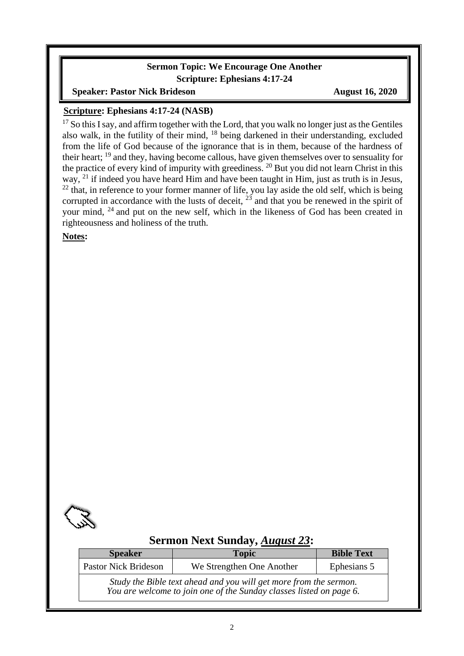#### **Sermon Topic: We Encourage One Another Scripture: Ephesians 4:17-24**

#### **Speaker: Pastor Nick Brideson August 16, 2020**

#### **Scripture: Ephesians 4:17-24 (NASB)**

 $17$  So this I say, and affirm together with the Lord, that you walk no longer just as the Gentiles also walk, in the futility of their mind, <sup>18</sup> being darkened in their understanding, excluded from the life of God because of the ignorance that is in them, because of the hardness of their heart; <sup>19</sup> and they, having become callous, have given themselves over to sensuality for the practice of every kind of impurity with greediness.<sup>20</sup> But you did not learn Christ in this way, <sup>21</sup> if indeed you have heard Him and have been taught in Him, just as truth is in Jesus,  $22$  that, in reference to your former manner of life, you lay aside the old self, which is being corrupted in accordance with the lusts of deceit,  $23$  and that you be renewed in the spirit of your mind, <sup>24</sup> and put on the new self, which in the likeness of God has been created in righteousness and holiness of the truth.

**Notes:**



## **Sermon Next Sunday,** *August 23***:**

| <b>Speaker</b>              | <b>Topic</b>                                                                                                                             | <b>Bible Text</b> |
|-----------------------------|------------------------------------------------------------------------------------------------------------------------------------------|-------------------|
| <b>Pastor Nick Brideson</b> | We Strengthen One Another                                                                                                                | Ephesians 5       |
|                             | Study the Bible text ahead and you will get more from the sermon.<br>You are welcome to join one of the Sunday classes listed on page 6. |                   |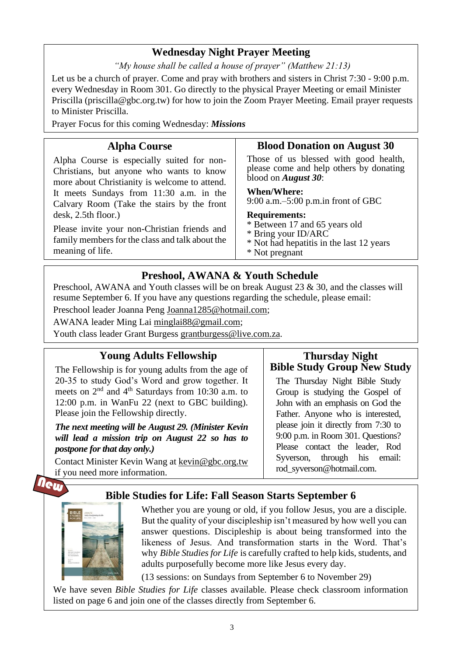# **Wednesday Night Prayer Meeting**

*"My house shall be called a house of prayer" (Matthew 21:13)*

Let us be a church of prayer. Come and pray with brothers and sisters in Christ 7:30 - 9:00 p.m. every Wednesday in Room 301. Go directly to the physical Prayer Meeting or email Minister Priscilla (priscilla@gbc.org.tw) for how to join the Zoom Prayer Meeting. Email prayer requests to Minister Priscilla.

Prayer Focus for this coming Wednesday: *Missions*

## **Alpha Course**

**Blood Donation on August 30**

Alpha Course is especially suited for non-Christians, but anyone who wants to know more about Christianity is welcome to attend. It meets Sundays from 11:30 a.m. in the Calvary Room (Take the stairs by the front desk, 2.5th floor.)

Please invite your non-Christian friends and family members for the class and talk about the meaning of life.

Those of us blessed with good health, please come and help others by donating blood on *August 30*:

#### **When/Where:**

9:00 a.m.–5:00 p.m.in front of GBC

- **Requirements:**
- \* Between 17 and 65 years old
- \* Bring your ID/ARC
- \* Not had hepatitis in the last 12 years
- \* Not pregnant

## **Preshool, AWANA & Youth Schedule**

Preschool, AWANA and Youth classes will be on break August 23 & 30, and the classes will resume September 6. If you have any questions regarding the schedule, please email: Preschool leader Joanna Peng [Joanna1285@hotmail.com;](mailto:Joanna1285@hotmail.com)

AWANA leader Ming Lai [minglai88@gmail.com;](mailto:minglai88@gmail.com)

Youth class leader Grant Burgess grantburgess@live.com.za.

### **Young Adults Fellowship**  The Fellowship is for young adults from the age of 20-35 to study God's Word and grow together. It meets on  $2<sup>nd</sup>$  and  $4<sup>th</sup>$  Saturdays from 10:30 a.m. to 12:00 p.m. in WanFu 22 (next to GBC building). Please join the Fellowship directly. *The next meeting will be August 29. (Minister Kevin*

*will lead a mission trip on August 22 so has to postpone for that day only.)*

Contact Minister Kevin Wang at kevin@gbc.org.tw if you need more information.

## **Thursday Night Bible Study Group New Study**

The Thursday Night Bible Study Group is studying the Gospel of John with an emphasis on God the Father. Anyone who is interested, please join it directly from 7:30 to 9:00 p.m. in Room 301. Questions? Please contact the leader, Rod Syverson, through his email: rod\_syverson@hotmail.com.

# **Bible Studies for Life: Fall Season Starts September 6**



Whether you are young or old, if you follow Jesus, you are a disciple. But the quality of your discipleship isn't measured by how well you can answer questions. Discipleship is about being transformed into the likeness of Jesus. And transformation starts in the Word. That's why *Bible Studies for Life* is carefully crafted to help kids, students, and adults purposefully become more like Jesus every day.

(13 sessions: on Sundays from September 6 to November 29)

We have seven *Bible Studies for Life* classes available. Please check classroom information listed on page 6 and join one of the classes directly from September 6.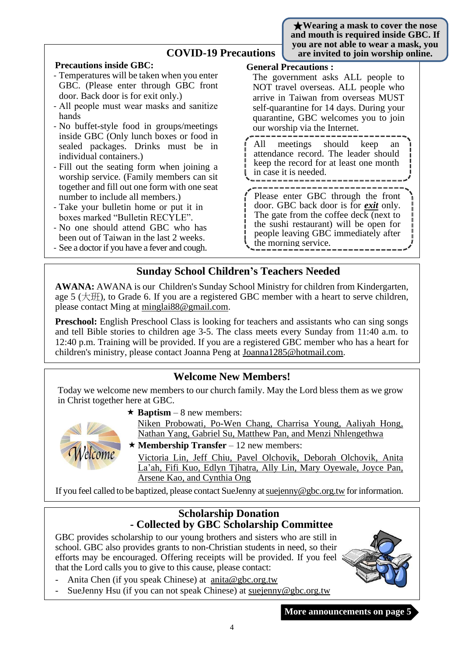★**Wearing a mask to cover the nose and mouth is required inside GBC. If you are not able to wear a mask, you** 

| <b>COVID-19 Precautions</b>                                                                                                                                                                                                                                                                                                                                                                                                                                                                                                                                                                                                                                                                                                                                            | you are not able to wear a mask, ye<br>are invited to join worship online.                                                                                                                                                                                                                                                                                                                                                                                                                                                                                                                                                                                              |
|------------------------------------------------------------------------------------------------------------------------------------------------------------------------------------------------------------------------------------------------------------------------------------------------------------------------------------------------------------------------------------------------------------------------------------------------------------------------------------------------------------------------------------------------------------------------------------------------------------------------------------------------------------------------------------------------------------------------------------------------------------------------|-------------------------------------------------------------------------------------------------------------------------------------------------------------------------------------------------------------------------------------------------------------------------------------------------------------------------------------------------------------------------------------------------------------------------------------------------------------------------------------------------------------------------------------------------------------------------------------------------------------------------------------------------------------------------|
| <b>Precautions inside GBC:</b><br>- Temperatures will be taken when you enter<br>GBC. (Please enter through GBC front<br>door. Back door is for exit only.)<br>- All people must wear masks and sanitize<br>hands<br>- No buffet-style food in groups/meetings<br>inside GBC (Only lunch boxes or food in<br>sealed packages. Drinks must be in<br>individual containers.)<br>- Fill out the seating form when joining a<br>worship service. (Family members can sit<br>together and fill out one form with one seat<br>number to include all members.)<br>- Take your bulletin home or put it in<br>boxes marked "Bulletin RECYLE".<br>- No one should attend GBC who has<br>been out of Taiwan in the last 2 weeks.<br>- See a doctor if you have a fever and cough. | <b>General Precautions:</b><br>The government asks ALL people to<br>NOT travel overseas. ALL people who<br>arrive in Taiwan from overseas MUST<br>self-quarantine for 14 days. During your<br>quarantine, GBC welcomes you to join<br>our worship via the Internet.<br>meetings should<br>keep<br>All<br>an<br>attendance record. The leader should<br>keep the record for at least one month<br>in case it is needed.<br>Please enter GBC through the front<br>door. GBC back door is for <b><i>exit</i></b> only.<br>The gate from the coffee deck (next to<br>the sushi restaurant) will be open for<br>people leaving GBC immediately after<br>the morning service. |
|                                                                                                                                                                                                                                                                                                                                                                                                                                                                                                                                                                                                                                                                                                                                                                        |                                                                                                                                                                                                                                                                                                                                                                                                                                                                                                                                                                                                                                                                         |

# **Sunday School Children's Teachers Needed**

**AWANA:** AWANA is our Children's Sunday School Ministry for children from Kindergarten, age 5 ( $\pm \text{H}$ ), to Grade 6. If you are a registered GBC member with a heart to serve children, please contact Ming at [minglai88@gmail.com.](mailto:minglai88@gmail.com)

**Preschool:** English Preschool Class is looking for teachers and assistants who can sing songs and tell Bible stories to children age 3-5. The class meets every Sunday from 11:40 a.m. to 12:40 p.m. Training will be provided. If you are a registered GBC member who has a heart for children's ministry, please contact Joanna Peng at Joanna1285@hotmail.com.

## **Welcome New Members!**

Today we welcome new members to our church family. May the Lord bless them as we grow in Christ together here at GBC.



 $\star$  **Baptism** – 8 new members:

Niken Probowati, Po-Wen Chang, Charrisa Young, Aaliyah Hong, Nathan Yang, Gabriel Su, Matthew Pan, and Menzi Nhlengethwa

 $\star$  **Membership Transfer** – 12 new members:

Victoria Lin, Jeff Chiu, Pavel Olchovik, Deborah Olchovik, Anita La'ah, Fifi Kuo, Edlyn Tjhatra, Ally Lin, Mary Oyewale, Joyce Pan, Arsene Kao, and Cynthia Ong

If you feel called to be baptized, please contact SueJenny a[t suejenny@gbc.org.tw](mailto:suejenny@gbc.org.tw) for information.

## **Scholarship Donation - Collected by GBC Scholarship Committee**

GBC provides scholarship to our young brothers and sisters who are still in school. GBC also provides grants to non-Christian students in need, so their efforts may be encouraged. Offering receipts will be provided. If you feel that the Lord calls you to give to this cause, please contact:

- Anita Chen (if you speak Chinese) at anita@gbc.org.tw
- SueJenny Hsu (if you can not speak Chinese) at suejenny@gbc.org.tw



**More announcements on page 5**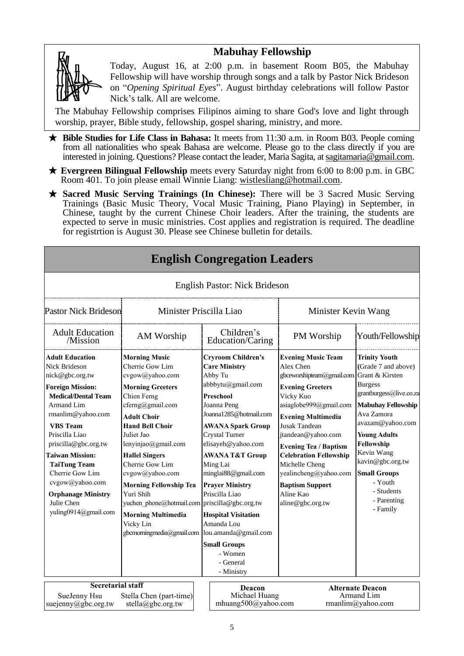## **Mabuhay Fellowship**



Today, August 16, at 2:00 p.m. in basement Room B05, the Mabuhay Fellowship will have worship through songs and a talk by Pastor Nick Brideson on "*Opening Spiritual Eyes*". August birthday celebrations will follow Pastor Nick's talk. All are welcome.

The Mabuhay Fellowship comprises Filipinos aiming to share God's love and light through worship, prayer, Bible study, fellowship, gospel sharing, ministry, and more.

- ★ **Bible Studies for Life Class in Bahasa:** It meets from 11:30 a.m. in Room B03. People coming from all nationalities who speak Bahasa are welcome. Please go to the class directly if you are interested in joining. Questions? Please contact the leader, Maria Sagita, at sagitamaria@gmail.com.
- ★ **Evergreen Bilingual Fellowship** meets every Saturday night from 6:00 to 8:00 p.m. in GBC Room 401. To join please email Winnie Liang: [wistlesliang@hotmail.com.](mailto:wistlesliang@hotmail.com)
- ★ **Sacred Music Serving Trainings (In Chinese):** There will be 3 Sacred Music Serving Trainings (Basic Music Theory, Vocal Music Training, Piano Playing) in September, in Chinese, taught by the current Chinese Choir leaders. After the training, the students are expected to serve in music ministries. Cost applies and registration is required. The deadline for registrtion is August 30. Please see Chinese bulletin for details.

**English Congregation Leaders**

|                                                                                                                                                                                                                                                                                                                                                                                      |                                                                                                                                                                                                                                                                                                                                                                                                                                                    | <b>English Pastor: Nick Brideson</b>                                                                                                                                                                                                                                                                                                                                                                                                                             |                                                                                                                                                                                                                                                                                                                                                                                                  |                                                                                                                                                                                                                                                                                                           |
|--------------------------------------------------------------------------------------------------------------------------------------------------------------------------------------------------------------------------------------------------------------------------------------------------------------------------------------------------------------------------------------|----------------------------------------------------------------------------------------------------------------------------------------------------------------------------------------------------------------------------------------------------------------------------------------------------------------------------------------------------------------------------------------------------------------------------------------------------|------------------------------------------------------------------------------------------------------------------------------------------------------------------------------------------------------------------------------------------------------------------------------------------------------------------------------------------------------------------------------------------------------------------------------------------------------------------|--------------------------------------------------------------------------------------------------------------------------------------------------------------------------------------------------------------------------------------------------------------------------------------------------------------------------------------------------------------------------------------------------|-----------------------------------------------------------------------------------------------------------------------------------------------------------------------------------------------------------------------------------------------------------------------------------------------------------|
| <b>Pastor Nick Brideson</b>                                                                                                                                                                                                                                                                                                                                                          | Minister Priscilla Liao                                                                                                                                                                                                                                                                                                                                                                                                                            |                                                                                                                                                                                                                                                                                                                                                                                                                                                                  | Minister Kevin Wang                                                                                                                                                                                                                                                                                                                                                                              |                                                                                                                                                                                                                                                                                                           |
| <b>Adult Education</b><br>/Mission                                                                                                                                                                                                                                                                                                                                                   | AM Worship                                                                                                                                                                                                                                                                                                                                                                                                                                         | Children's<br>Education/Caring                                                                                                                                                                                                                                                                                                                                                                                                                                   | PM Worship                                                                                                                                                                                                                                                                                                                                                                                       | Youth/Fellowship                                                                                                                                                                                                                                                                                          |
| <b>Adult Education</b><br><b>Nick Brideson</b><br>nick@gbc.org.tw<br><b>Foreign Mission:</b><br><b>Medical/Dental Team</b><br>Armand Lim<br>rmanlim@yahoo.com<br><b>VBS</b> Team<br>Priscilla Liao<br>priscilla@gbc.org.tw<br><b>Taiwan Mission:</b><br><b>TaiTung Team</b><br>Cherrie Gow Lim<br>cvgow@yahoo.com<br><b>Orphanage Ministry</b><br>Julie Chen<br>yuling0914@gmail.com | <b>Morning Music</b><br>Cherrie Gow Lim<br>cvgow@yahoo.com<br><b>Morning Greeters</b><br>Chien Ferng<br>cferng@gmail.com<br><b>Adult Choir</b><br><b>Hand Bell Choir</b><br>Juliet Jao<br>lenyinjao@gmail.com<br><b>Hallel Singers</b><br>Cherrie Gow Lim<br>cvgow@yahoo.com<br><b>Morning Fellowship Tea</b><br>Yuri Shih<br>yuchen phone@hotmail.com priscilla@gbc.org.tw<br><b>Morning Multimedia</b><br>Vicky Lin<br>gbcmorningmedia@gmail.com | <b>Cryroom Children's</b><br><b>Care Ministry</b><br>Abby Tu<br>abbbytu@gmail.com<br>Preschool<br>Joanna Peng<br>Joanna1285@hotmail.com<br><b>AWANA Spark Group</b><br><b>Crystal Turner</b><br>elisayeh@yahoo.com<br><b>AWANA T&amp;T Group</b><br>Ming Lai<br>minglai88@gmail.com<br><b>Prayer Ministry</b><br>Priscilla Liao<br><b>Hospital Visitation</b><br>Amanda Lou<br>lou.amanda@gmail.com<br><b>Small Groups</b><br>- Women<br>- General<br>- Ministry | <b>Evening Music Team</b><br>Alex Chen<br>gbceworshipteam@gmail.com Grant & Kirsten<br><b>Evening Greeters</b><br>Vicky Kuo<br>asiaglobe999@gmail.com<br><b>Evening Multimedia</b><br>Jusak Tandean<br>jtandean@yahoo.com<br><b>Evening Tea / Baptism</b><br><b>Celebration Fellowship</b><br>Michelle Cheng<br>yealincheng@yahoo.com<br><b>Baptism Support</b><br>Aline Kao<br>aline@gbc.org.tw | <b>Trinity Youth</b><br>(Grade 7 and above)<br><b>Burgess</b><br>grantburgess@live.co.za<br><b>Mabuhay Fellowship</b><br>Ava Zamora<br>avazam@yahoo.com<br><b>Young Adults</b><br>Fellowship<br>Kevin Wang<br>kavin@gbc.org.tw<br><b>Small Groups</b><br>- Youth<br>- Students<br>- Parenting<br>- Family |
| <b>Secretarial staff</b>                                                                                                                                                                                                                                                                                                                                                             |                                                                                                                                                                                                                                                                                                                                                                                                                                                    |                                                                                                                                                                                                                                                                                                                                                                                                                                                                  |                                                                                                                                                                                                                                                                                                                                                                                                  |                                                                                                                                                                                                                                                                                                           |
| SueJenny Hsu<br>suejenny@gbc.org.tw                                                                                                                                                                                                                                                                                                                                                  | Stella Chen (part-time)<br>stella@gbc.org.tw                                                                                                                                                                                                                                                                                                                                                                                                       | Deacon<br>Michael Huang<br>mhuang500@yahoo.com                                                                                                                                                                                                                                                                                                                                                                                                                   |                                                                                                                                                                                                                                                                                                                                                                                                  | <b>Alternate Deacon</b><br>Armand Lim<br>rmanlim@yahoo.com                                                                                                                                                                                                                                                |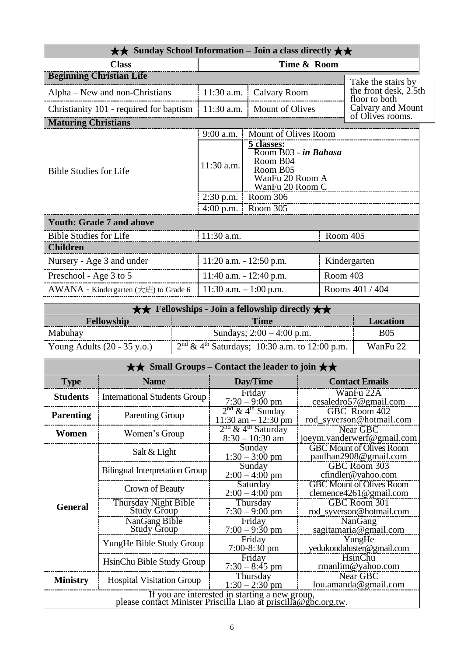| $\star\star$ Sunday School Information – Join a class directly $\star\star$ |              |                                                                                                  |          |                                        |
|-----------------------------------------------------------------------------|--------------|--------------------------------------------------------------------------------------------------|----------|----------------------------------------|
| <b>Class</b>                                                                |              | Time & Room                                                                                      |          |                                        |
| <b>Beginning Christian Life</b>                                             |              |                                                                                                  |          | Take the stairs by                     |
| Alpha – New and non-Christians                                              | $11:30$ a.m. | Calvary Room                                                                                     |          | the front desk, 2.5th<br>floor to both |
| Christianity 101 - required for baptism                                     | 11:30 a.m.   | Mount of Olives                                                                                  |          | Calvary and Mount<br>of Olives rooms.  |
| <b>Maturing Christians</b>                                                  |              |                                                                                                  |          |                                        |
|                                                                             | $9:00$ a.m.  | Mount of Olives Room                                                                             |          |                                        |
| <b>Bible Studies for Life</b>                                               | 11:30 a.m.   | 5 classes:<br>Room B03 - in Bahasa<br>Room B04<br>Room B05<br>WanFu 20 Room A<br>WanFu 20 Room C |          |                                        |
|                                                                             | $2:30$ p.m.  | Room 306                                                                                         |          |                                        |
|                                                                             | $4:00$ p.m.  | Room 305                                                                                         |          |                                        |
| <b>Youth: Grade 7 and above</b>                                             |              |                                                                                                  |          |                                        |
| <b>Bible Studies for Life</b>                                               | 11:30 a.m.   |                                                                                                  |          | Room 405                               |
| <b>Children</b>                                                             |              |                                                                                                  |          |                                        |
| Nursery - Age 3 and under                                                   |              | 11:20 a.m. - 12:50 p.m.                                                                          |          | Kindergarten                           |
| Preschool - Age 3 to 5                                                      |              | 11:40 a.m. $- 12:40$ p.m.                                                                        | Room 403 |                                        |
| AWANA - Kindergarten (大班) to Grade 6                                        |              | 11:30 a.m. $-1:00$ p.m.                                                                          |          | Rooms 401 / 404                        |

| <b>★★</b> Fellowships - Join a fellowship directly $\star \star$ |                                                   |                 |  |
|------------------------------------------------------------------|---------------------------------------------------|-----------------|--|
| <b>Fellowship</b>                                                | Time                                              | <b>Location</b> |  |
| Mabuhay                                                          | Sundays; $2:00 - 4:00$ p.m.                       | <b>B05</b>      |  |
| Young Adults $(20 - 35 \text{ y.o.})$                            | $2nd \& 4th Saturdays$ ; 10:30 a.m. to 12:00 p.m. | WanFu 22        |  |

| $\star\star$ Small Groups – Contact the leader to join $\star\star$                                               |                                            |                                                                 |                                                               |  |  |
|-------------------------------------------------------------------------------------------------------------------|--------------------------------------------|-----------------------------------------------------------------|---------------------------------------------------------------|--|--|
| <b>Type</b>                                                                                                       | <b>Name</b>                                | Day/Time                                                        | <b>Contact Emails</b>                                         |  |  |
| <b>Students</b>                                                                                                   | <b>International Students Group</b>        | Friday<br>$7:30 - 9:00$ pm                                      | WanFu 22A<br>cesaledro57@gmail.com                            |  |  |
| <b>Parenting</b>                                                                                                  | <b>Parenting Group</b>                     | $2nd$ & 4 <sup>th</sup> Sunday<br>$11:30$ am $-12:30$ pm        | GBC Room 402<br>rod_syverson@hotmail.com                      |  |  |
| Women                                                                                                             | Women's Group                              | 2 <sup>nd</sup> & 4 <sup>th</sup> Saturday<br>$8:30 - 10:30$ am | Near GBC<br>joeym.vanderwerf@gmail.com                        |  |  |
|                                                                                                                   | Salt & Light                               | Sunday<br>$1:30 - 3:00$ pm                                      | <b>GBC Mount of Olives Room</b><br>paulhan2908@gmail.com      |  |  |
|                                                                                                                   | <b>Bilingual Interpretation Group</b>      | Sunday<br>$2:00 - 4:00$ pm                                      | GBC Room 303<br>cfindler@yahoo.com                            |  |  |
|                                                                                                                   | Crown of Beauty                            | Saturday<br>$2:00 - 4:00$ pm                                    | <b>GBC Mount of Olives Room</b><br>clemence $4261$ @gmail.com |  |  |
| <b>General</b>                                                                                                    | Thursday Night Bible<br><b>Study Group</b> | Thursday<br>$7:30 - 9:00$ pm                                    | GBC Room 301<br>rod_syverson@hotmail.com                      |  |  |
|                                                                                                                   | NanGang Bible<br><b>Study Group</b>        | Friday<br>$7:00 - 9:30$ pm                                      | NanGang<br>sagitamaria@gmail.com                              |  |  |
|                                                                                                                   | YungHe Bible Study Group                   | Friday<br>$7:00-8:30$ pm                                        | YungHe<br>yedukondaluster@gmail.com                           |  |  |
|                                                                                                                   | HsinChu Bible Study Group                  | Friday<br>$7:30 - 8:45$ pm                                      | HsinChu<br>rmanlim@yahoo.com                                  |  |  |
| <b>Ministry</b>                                                                                                   | <b>Hospital Visitation Group</b>           | Thursday<br>$1:30 - 2:30$ pm                                    | Near GBC<br>lou.amanda@gmail.com                              |  |  |
| If you are interested in starting a new group,<br>please contact Minister Priscilla Liao at priscilla@gbc.org.tw. |                                            |                                                                 |                                                               |  |  |